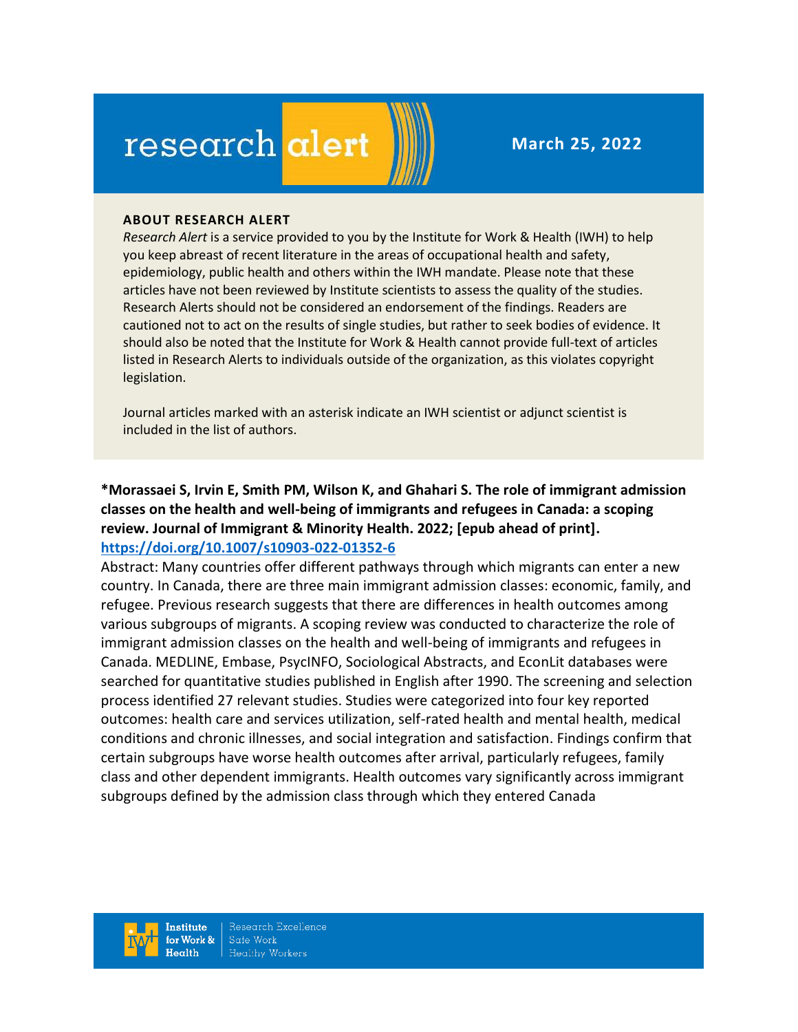# research alert

**March 25, 2022**

#### **ABOUT RESEARCH ALERT**

*Research Alert* is a service provided to you by the Institute for Work & Health (IWH) to help you keep abreast of recent literature in the areas of occupational health and safety, epidemiology, public health and others within the IWH mandate. Please note that these articles have not been reviewed by Institute scientists to assess the quality of the studies. Research Alerts should not be considered an endorsement of the findings. Readers are cautioned not to act on the results of single studies, but rather to seek bodies of evidence. It should also be noted that the Institute for Work & Health cannot provide full-text of articles listed in Research Alerts to individuals outside of the organization, as this violates copyright legislation.

Journal articles marked with an asterisk indicate an IWH scientist or adjunct scientist is included in the list of authors.

**\*Morassaei S, Irvin E, Smith PM, Wilson K, and Ghahari S. The role of immigrant admission classes on the health and well-being of immigrants and refugees in Canada: a scoping review. Journal of Immigrant & Minority Health. 2022; [epub ahead of print]. <https://doi.org/10.1007/s10903-022-01352-6>** 

Abstract: Many countries offer different pathways through which migrants can enter a new country. In Canada, there are three main immigrant admission classes: economic, family, and refugee. Previous research suggests that there are differences in health outcomes among various subgroups of migrants. A scoping review was conducted to characterize the role of immigrant admission classes on the health and well-being of immigrants and refugees in Canada. MEDLINE, Embase, PsycINFO, Sociological Abstracts, and EconLit databases were searched for quantitative studies published in English after 1990. The screening and selection process identified 27 relevant studies. Studies were categorized into four key reported outcomes: health care and services utilization, self-rated health and mental health, medical conditions and chronic illnesses, and social integration and satisfaction. Findings confirm that certain subgroups have worse health outcomes after arrival, particularly refugees, family class and other dependent immigrants. Health outcomes vary significantly across immigrant subgroups defined by the admission class through which they entered Canada

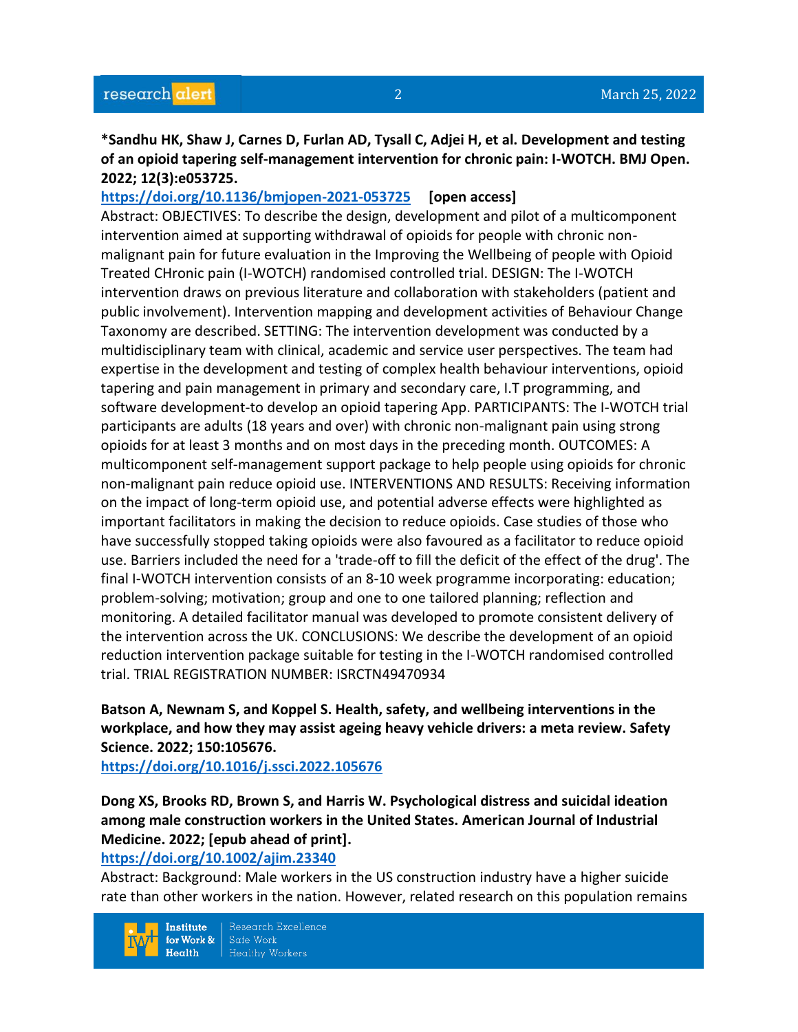#### **\*Sandhu HK, Shaw J, Carnes D, Furlan AD, Tysall C, Adjei H, et al. Development and testing of an opioid tapering self-management intervention for chronic pain: I-WOTCH. BMJ Open. 2022; 12(3):e053725.**

#### **<https://doi.org/10.1136/bmjopen-2021-053725> [open access]**

Abstract: OBJECTIVES: To describe the design, development and pilot of a multicomponent intervention aimed at supporting withdrawal of opioids for people with chronic nonmalignant pain for future evaluation in the Improving the Wellbeing of people with Opioid Treated CHronic pain (I-WOTCH) randomised controlled trial. DESIGN: The I-WOTCH intervention draws on previous literature and collaboration with stakeholders (patient and public involvement). Intervention mapping and development activities of Behaviour Change Taxonomy are described. SETTING: The intervention development was conducted by a multidisciplinary team with clinical, academic and service user perspectives. The team had expertise in the development and testing of complex health behaviour interventions, opioid tapering and pain management in primary and secondary care, I.T programming, and software development-to develop an opioid tapering App. PARTICIPANTS: The I-WOTCH trial participants are adults (18 years and over) with chronic non-malignant pain using strong opioids for at least 3 months and on most days in the preceding month. OUTCOMES: A multicomponent self-management support package to help people using opioids for chronic non-malignant pain reduce opioid use. INTERVENTIONS AND RESULTS: Receiving information on the impact of long-term opioid use, and potential adverse effects were highlighted as important facilitators in making the decision to reduce opioids. Case studies of those who have successfully stopped taking opioids were also favoured as a facilitator to reduce opioid use. Barriers included the need for a 'trade-off to fill the deficit of the effect of the drug'. The final I-WOTCH intervention consists of an 8-10 week programme incorporating: education; problem-solving; motivation; group and one to one tailored planning; reflection and monitoring. A detailed facilitator manual was developed to promote consistent delivery of the intervention across the UK. CONCLUSIONS: We describe the development of an opioid reduction intervention package suitable for testing in the I-WOTCH randomised controlled trial. TRIAL REGISTRATION NUMBER: ISRCTN49470934

#### **Batson A, Newnam S, and Koppel S. Health, safety, and wellbeing interventions in the workplace, and how they may assist ageing heavy vehicle drivers: a meta review. Safety Science. 2022; 150:105676.**

**<https://doi.org/10.1016/j.ssci.2022.105676>** 

# **Dong XS, Brooks RD, Brown S, and Harris W. Psychological distress and suicidal ideation among male construction workers in the United States. American Journal of Industrial Medicine. 2022; [epub ahead of print].**

#### **<https://doi.org/10.1002/ajim.23340>**

Abstract: Background: Male workers in the US construction industry have a higher suicide rate than other workers in the nation. However, related research on this population remains

**Institute** for Work &  $Heath$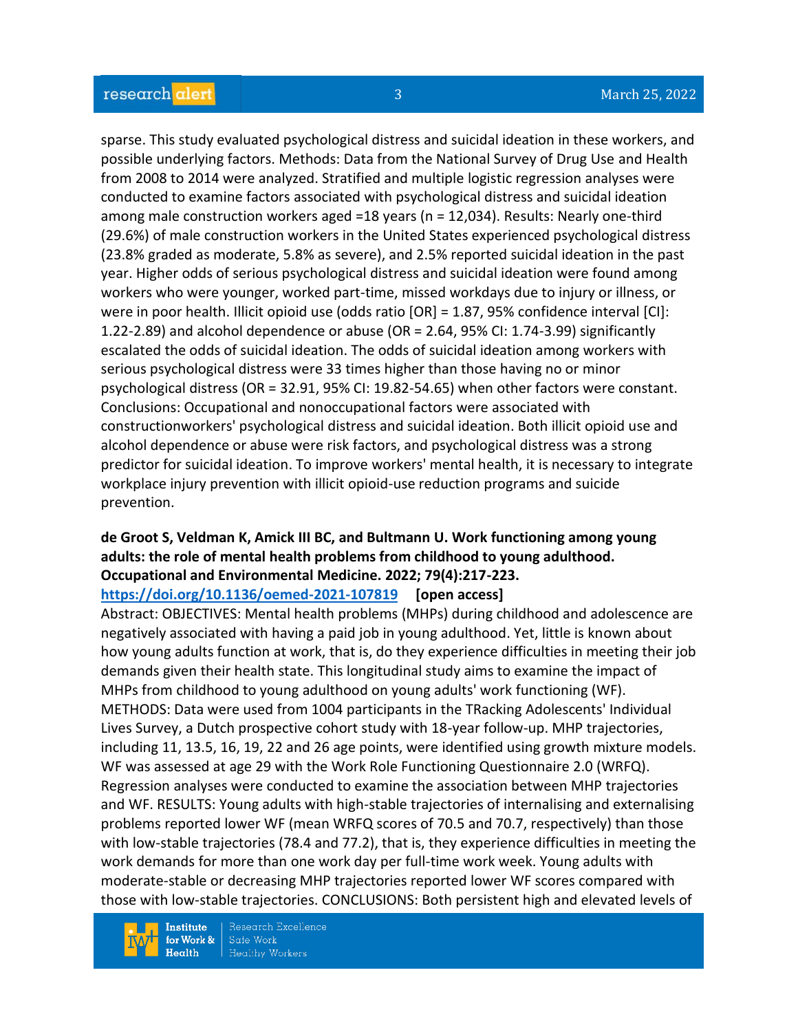sparse. This study evaluated psychological distress and suicidal ideation in these workers, and possible underlying factors. Methods: Data from the National Survey of Drug Use and Health from 2008 to 2014 were analyzed. Stratified and multiple logistic regression analyses were conducted to examine factors associated with psychological distress and suicidal ideation among male construction workers aged =18 years (n = 12,034). Results: Nearly one-third (29.6%) of male construction workers in the United States experienced psychological distress (23.8% graded as moderate, 5.8% as severe), and 2.5% reported suicidal ideation in the past year. Higher odds of serious psychological distress and suicidal ideation were found among workers who were younger, worked part-time, missed workdays due to injury or illness, or were in poor health. Illicit opioid use (odds ratio [OR] = 1.87, 95% confidence interval [CI]: 1.22-2.89) and alcohol dependence or abuse (OR = 2.64, 95% CI: 1.74-3.99) significantly escalated the odds of suicidal ideation. The odds of suicidal ideation among workers with serious psychological distress were 33 times higher than those having no or minor psychological distress (OR = 32.91, 95% CI: 19.82-54.65) when other factors were constant. Conclusions: Occupational and nonoccupational factors were associated with constructionworkers' psychological distress and suicidal ideation. Both illicit opioid use and alcohol dependence or abuse were risk factors, and psychological distress was a strong predictor for suicidal ideation. To improve workers' mental health, it is necessary to integrate workplace injury prevention with illicit opioid-use reduction programs and suicide prevention.

#### **de Groot S, Veldman K, Amick III BC, and Bultmann U. Work functioning among young adults: the role of mental health problems from childhood to young adulthood. Occupational and Environmental Medicine. 2022; 79(4):217-223.**

**<https://doi.org/10.1136/oemed-2021-107819> [open access]**

Abstract: OBJECTIVES: Mental health problems (MHPs) during childhood and adolescence are negatively associated with having a paid job in young adulthood. Yet, little is known about how young adults function at work, that is, do they experience difficulties in meeting their job demands given their health state. This longitudinal study aims to examine the impact of MHPs from childhood to young adulthood on young adults' work functioning (WF). METHODS: Data were used from 1004 participants in the TRacking Adolescents' Individual Lives Survey, a Dutch prospective cohort study with 18-year follow-up. MHP trajectories, including 11, 13.5, 16, 19, 22 and 26 age points, were identified using growth mixture models. WF was assessed at age 29 with the Work Role Functioning Questionnaire 2.0 (WRFQ). Regression analyses were conducted to examine the association between MHP trajectories and WF. RESULTS: Young adults with high-stable trajectories of internalising and externalising problems reported lower WF (mean WRFQ scores of 70.5 and 70.7, respectively) than those with low-stable trajectories (78.4 and 77.2), that is, they experience difficulties in meeting the work demands for more than one work day per full-time work week. Young adults with moderate-stable or decreasing MHP trajectories reported lower WF scores compared with those with low-stable trajectories. CONCLUSIONS: Both persistent high and elevated levels of

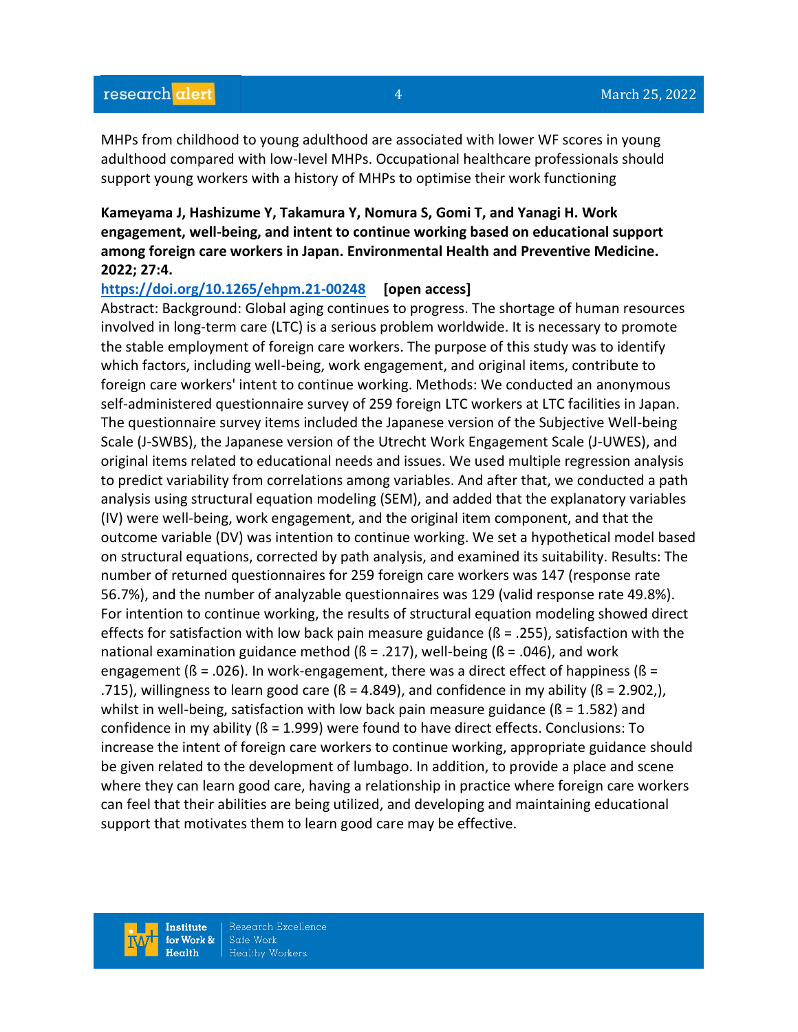MHPs from childhood to young adulthood are associated with lower WF scores in young adulthood compared with low-level MHPs. Occupational healthcare professionals should support young workers with a history of MHPs to optimise their work functioning

#### **Kameyama J, Hashizume Y, Takamura Y, Nomura S, Gomi T, and Yanagi H. Work engagement, well-being, and intent to continue working based on educational support among foreign care workers in Japan. Environmental Health and Preventive Medicine. 2022; 27:4.**

#### **<https://doi.org/10.1265/ehpm.21-00248> [open access]**

Abstract: Background: Global aging continues to progress. The shortage of human resources involved in long-term care (LTC) is a serious problem worldwide. It is necessary to promote the stable employment of foreign care workers. The purpose of this study was to identify which factors, including well-being, work engagement, and original items, contribute to foreign care workers' intent to continue working. Methods: We conducted an anonymous self-administered questionnaire survey of 259 foreign LTC workers at LTC facilities in Japan. The questionnaire survey items included the Japanese version of the Subjective Well-being Scale (J-SWBS), the Japanese version of the Utrecht Work Engagement Scale (J-UWES), and original items related to educational needs and issues. We used multiple regression analysis to predict variability from correlations among variables. And after that, we conducted a path analysis using structural equation modeling (SEM), and added that the explanatory variables (IV) were well-being, work engagement, and the original item component, and that the outcome variable (DV) was intention to continue working. We set a hypothetical model based on structural equations, corrected by path analysis, and examined its suitability. Results: The number of returned questionnaires for 259 foreign care workers was 147 (response rate 56.7%), and the number of analyzable questionnaires was 129 (valid response rate 49.8%). For intention to continue working, the results of structural equation modeling showed direct effects for satisfaction with low back pain measure guidance ( $\beta$  = .255), satisfaction with the national examination guidance method ( $\beta$  = .217), well-being ( $\beta$  = .046), and work engagement ( $\beta$  = .026). In work-engagement, there was a direct effect of happiness ( $\beta$  = .715), willingness to learn good care ( $\beta$  = 4.849), and confidence in my ability ( $\beta$  = 2.902,), whilst in well-being, satisfaction with low back pain measure guidance ( $\beta$  = 1.582) and confidence in my ability ( $\beta$  = 1.999) were found to have direct effects. Conclusions: To increase the intent of foreign care workers to continue working, appropriate guidance should be given related to the development of lumbago. In addition, to provide a place and scene where they can learn good care, having a relationship in practice where foreign care workers can feel that their abilities are being utilized, and developing and maintaining educational support that motivates them to learn good care may be effective.

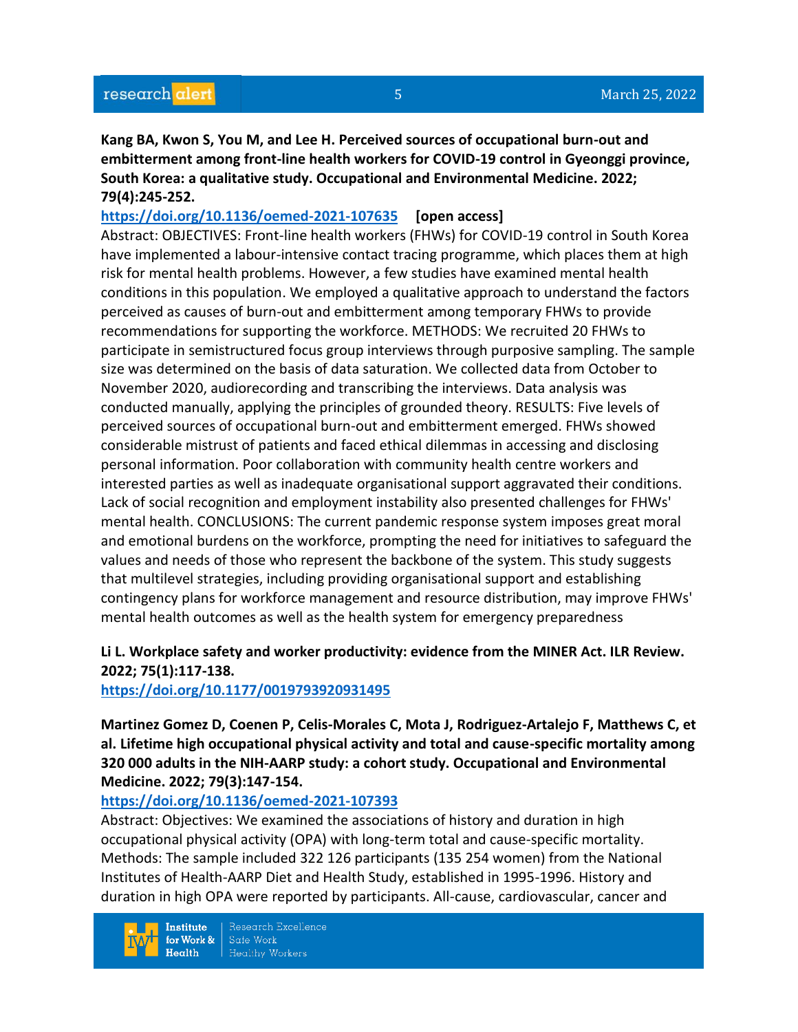**Kang BA, Kwon S, You M, and Lee H. Perceived sources of occupational burn-out and embitterment among front-line health workers for COVID-19 control in Gyeonggi province, South Korea: a qualitative study. Occupational and Environmental Medicine. 2022; 79(4):245-252.** 

**<https://doi.org/10.1136/oemed-2021-107635> [open access]** Abstract: OBJECTIVES: Front-line health workers (FHWs) for COVID-19 control in South Korea have implemented a labour-intensive contact tracing programme, which places them at high risk for mental health problems. However, a few studies have examined mental health conditions in this population. We employed a qualitative approach to understand the factors perceived as causes of burn-out and embitterment among temporary FHWs to provide recommendations for supporting the workforce. METHODS: We recruited 20 FHWs to participate in semistructured focus group interviews through purposive sampling. The sample size was determined on the basis of data saturation. We collected data from October to November 2020, audiorecording and transcribing the interviews. Data analysis was conducted manually, applying the principles of grounded theory. RESULTS: Five levels of perceived sources of occupational burn-out and embitterment emerged. FHWs showed considerable mistrust of patients and faced ethical dilemmas in accessing and disclosing personal information. Poor collaboration with community health centre workers and interested parties as well as inadequate organisational support aggravated their conditions. Lack of social recognition and employment instability also presented challenges for FHWs' mental health. CONCLUSIONS: The current pandemic response system imposes great moral and emotional burdens on the workforce, prompting the need for initiatives to safeguard the values and needs of those who represent the backbone of the system. This study suggests that multilevel strategies, including providing organisational support and establishing contingency plans for workforce management and resource distribution, may improve FHWs' mental health outcomes as well as the health system for emergency preparedness

### **Li L. Workplace safety and worker productivity: evidence from the MINER Act. ILR Review. 2022; 75(1):117-138.**

#### **<https://doi.org/10.1177/0019793920931495>**

**Martinez Gomez D, Coenen P, Celis-Morales C, Mota J, Rodriguez-Artalejo F, Matthews C, et al. Lifetime high occupational physical activity and total and cause-specific mortality among 320 000 adults in the NIH-AARP study: a cohort study. Occupational and Environmental Medicine. 2022; 79(3):147-154.** 

#### **<https://doi.org/10.1136/oemed-2021-107393>**

Abstract: Objectives: We examined the associations of history and duration in high occupational physical activity (OPA) with long-term total and cause-specific mortality. Methods: The sample included 322 126 participants (135 254 women) from the National Institutes of Health-AARP Diet and Health Study, established in 1995-1996. History and duration in high OPA were reported by participants. All-cause, cardiovascular, cancer and

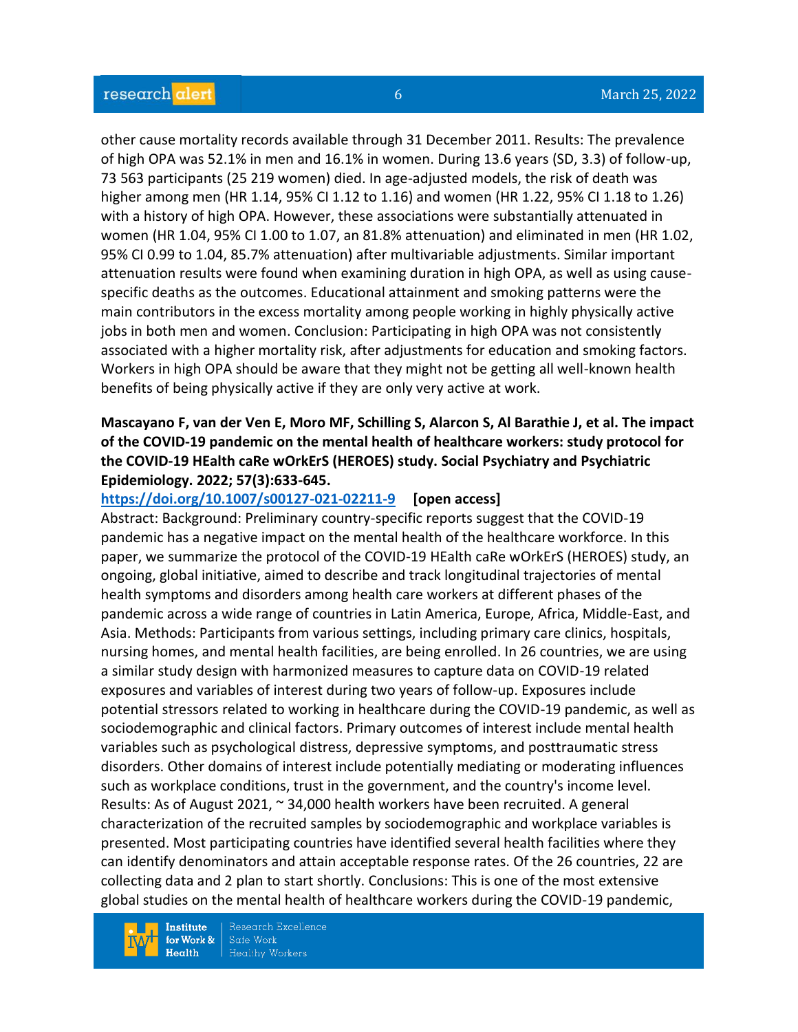other cause mortality records available through 31 December 2011. Results: The prevalence of high OPA was 52.1% in men and 16.1% in women. During 13.6 years (SD, 3.3) of follow-up, 73 563 participants (25 219 women) died. In age-adjusted models, the risk of death was higher among men (HR 1.14, 95% CI 1.12 to 1.16) and women (HR 1.22, 95% CI 1.18 to 1.26) with a history of high OPA. However, these associations were substantially attenuated in women (HR 1.04, 95% CI 1.00 to 1.07, an 81.8% attenuation) and eliminated in men (HR 1.02, 95% CI 0.99 to 1.04, 85.7% attenuation) after multivariable adjustments. Similar important attenuation results were found when examining duration in high OPA, as well as using causespecific deaths as the outcomes. Educational attainment and smoking patterns were the main contributors in the excess mortality among people working in highly physically active jobs in both men and women. Conclusion: Participating in high OPA was not consistently associated with a higher mortality risk, after adjustments for education and smoking factors. Workers in high OPA should be aware that they might not be getting all well-known health benefits of being physically active if they are only very active at work.

#### **Mascayano F, van der Ven E, Moro MF, Schilling S, Alarcon S, Al Barathie J, et al. The impact of the COVID-19 pandemic on the mental health of healthcare workers: study protocol for the COVID-19 HEalth caRe wOrkErS (HEROES) study. Social Psychiatry and Psychiatric Epidemiology. 2022; 57(3):633-645.**

#### **<https://doi.org/10.1007/s00127-021-02211-9> [open access]**

Abstract: Background: Preliminary country-specific reports suggest that the COVID-19 pandemic has a negative impact on the mental health of the healthcare workforce. In this paper, we summarize the protocol of the COVID-19 HEalth caRe wOrkErS (HEROES) study, an ongoing, global initiative, aimed to describe and track longitudinal trajectories of mental health symptoms and disorders among health care workers at different phases of the pandemic across a wide range of countries in Latin America, Europe, Africa, Middle-East, and Asia. Methods: Participants from various settings, including primary care clinics, hospitals, nursing homes, and mental health facilities, are being enrolled. In 26 countries, we are using a similar study design with harmonized measures to capture data on COVID-19 related exposures and variables of interest during two years of follow-up. Exposures include potential stressors related to working in healthcare during the COVID-19 pandemic, as well as sociodemographic and clinical factors. Primary outcomes of interest include mental health variables such as psychological distress, depressive symptoms, and posttraumatic stress disorders. Other domains of interest include potentially mediating or moderating influences such as workplace conditions, trust in the government, and the country's income level. Results: As of August 2021, ~ 34,000 health workers have been recruited. A general characterization of the recruited samples by sociodemographic and workplace variables is presented. Most participating countries have identified several health facilities where they can identify denominators and attain acceptable response rates. Of the 26 countries, 22 are collecting data and 2 plan to start shortly. Conclusions: This is one of the most extensive global studies on the mental health of healthcare workers during the COVID-19 pandemic,

**Institute** for Work &  $Health$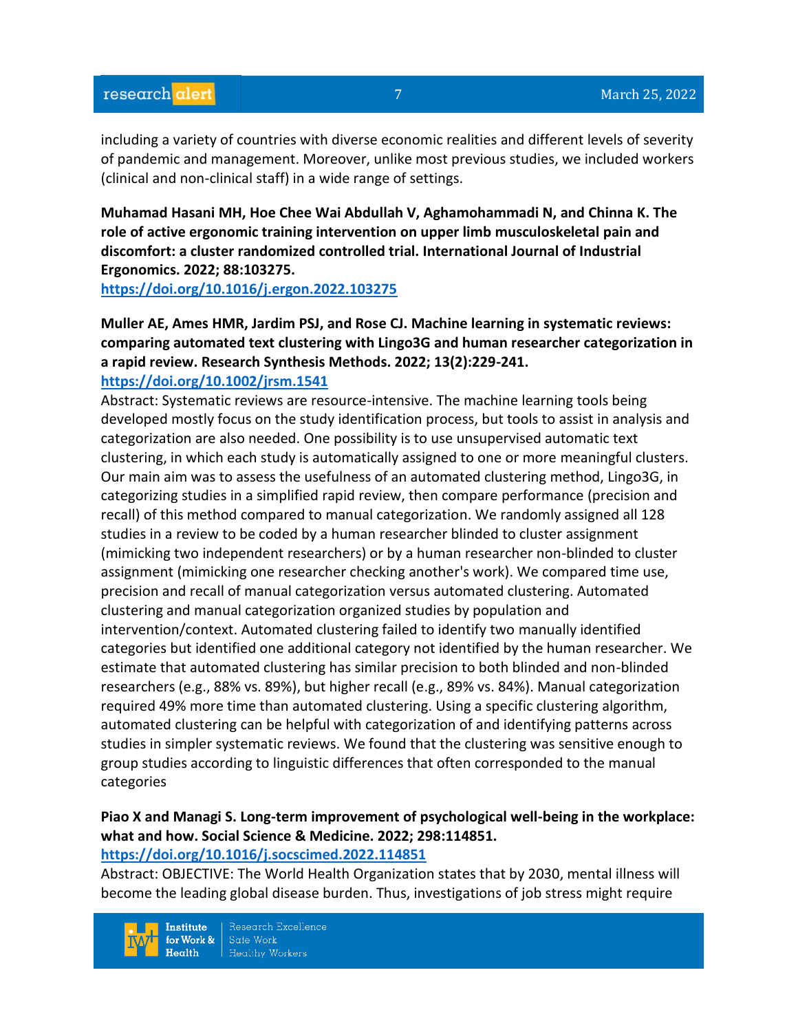including a variety of countries with diverse economic realities and different levels of severity of pandemic and management. Moreover, unlike most previous studies, we included workers (clinical and non-clinical staff) in a wide range of settings.

**Muhamad Hasani MH, Hoe Chee Wai Abdullah V, Aghamohammadi N, and Chinna K. The role of active ergonomic training intervention on upper limb musculoskeletal pain and discomfort: a cluster randomized controlled trial. International Journal of Industrial Ergonomics. 2022; 88:103275.**

**<https://doi.org/10.1016/j.ergon.2022.103275>** 

**Muller AE, Ames HMR, Jardim PSJ, and Rose CJ. Machine learning in systematic reviews: comparing automated text clustering with Lingo3G and human researcher categorization in a rapid review. Research Synthesis Methods. 2022; 13(2):229-241. <https://doi.org/10.1002/jrsm.1541>** 

Abstract: Systematic reviews are resource-intensive. The machine learning tools being developed mostly focus on the study identification process, but tools to assist in analysis and categorization are also needed. One possibility is to use unsupervised automatic text clustering, in which each study is automatically assigned to one or more meaningful clusters. Our main aim was to assess the usefulness of an automated clustering method, Lingo3G, in categorizing studies in a simplified rapid review, then compare performance (precision and recall) of this method compared to manual categorization. We randomly assigned all 128 studies in a review to be coded by a human researcher blinded to cluster assignment (mimicking two independent researchers) or by a human researcher non-blinded to cluster assignment (mimicking one researcher checking another's work). We compared time use, precision and recall of manual categorization versus automated clustering. Automated clustering and manual categorization organized studies by population and intervention/context. Automated clustering failed to identify two manually identified categories but identified one additional category not identified by the human researcher. We estimate that automated clustering has similar precision to both blinded and non-blinded researchers (e.g., 88% vs. 89%), but higher recall (e.g., 89% vs. 84%). Manual categorization required 49% more time than automated clustering. Using a specific clustering algorithm, automated clustering can be helpful with categorization of and identifying patterns across studies in simpler systematic reviews. We found that the clustering was sensitive enough to group studies according to linguistic differences that often corresponded to the manual categories

# **Piao X and Managi S. Long-term improvement of psychological well-being in the workplace: what and how. Social Science & Medicine. 2022; 298:114851.**

#### **<https://doi.org/10.1016/j.socscimed.2022.114851>**

Abstract: OBJECTIVE: The World Health Organization states that by 2030, mental illness will become the leading global disease burden. Thus, investigations of job stress might require

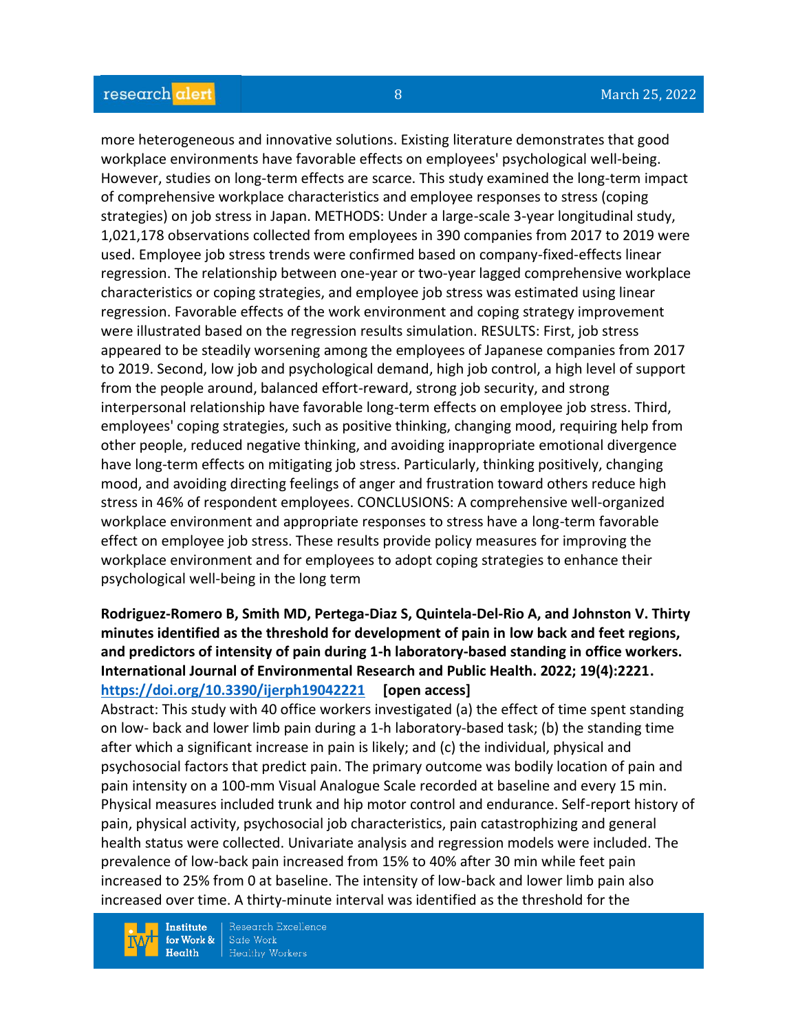#### research alert

more heterogeneous and innovative solutions. Existing literature demonstrates that good workplace environments have favorable effects on employees' psychological well-being. However, studies on long-term effects are scarce. This study examined the long-term impact of comprehensive workplace characteristics and employee responses to stress (coping strategies) on job stress in Japan. METHODS: Under a large-scale 3-year longitudinal study, 1,021,178 observations collected from employees in 390 companies from 2017 to 2019 were used. Employee job stress trends were confirmed based on company-fixed-effects linear regression. The relationship between one-year or two-year lagged comprehensive workplace characteristics or coping strategies, and employee job stress was estimated using linear regression. Favorable effects of the work environment and coping strategy improvement were illustrated based on the regression results simulation. RESULTS: First, job stress appeared to be steadily worsening among the employees of Japanese companies from 2017 to 2019. Second, low job and psychological demand, high job control, a high level of support from the people around, balanced effort-reward, strong job security, and strong interpersonal relationship have favorable long-term effects on employee job stress. Third, employees' coping strategies, such as positive thinking, changing mood, requiring help from other people, reduced negative thinking, and avoiding inappropriate emotional divergence have long-term effects on mitigating job stress. Particularly, thinking positively, changing mood, and avoiding directing feelings of anger and frustration toward others reduce high stress in 46% of respondent employees. CONCLUSIONS: A comprehensive well-organized workplace environment and appropriate responses to stress have a long-term favorable effect on employee job stress. These results provide policy measures for improving the workplace environment and for employees to adopt coping strategies to enhance their psychological well-being in the long term

#### **Rodriguez-Romero B, Smith MD, Pertega-Diaz S, Quintela-Del-Rio A, and Johnston V. Thirty minutes identified as the threshold for development of pain in low back and feet regions, and predictors of intensity of pain during 1-h laboratory-based standing in office workers. International Journal of Environmental Research and Public Health. 2022; 19(4):2221. <https://doi.org/10.3390/ijerph19042221> [open access]**

Abstract: This study with 40 office workers investigated (a) the effect of time spent standing on low- back and lower limb pain during a 1-h laboratory-based task; (b) the standing time after which a significant increase in pain is likely; and (c) the individual, physical and psychosocial factors that predict pain. The primary outcome was bodily location of pain and pain intensity on a 100-mm Visual Analogue Scale recorded at baseline and every 15 min. Physical measures included trunk and hip motor control and endurance. Self-report history of pain, physical activity, psychosocial job characteristics, pain catastrophizing and general health status were collected. Univariate analysis and regression models were included. The prevalence of low-back pain increased from 15% to 40% after 30 min while feet pain increased to 25% from 0 at baseline. The intensity of low-back and lower limb pain also increased over time. A thirty-minute interval was identified as the threshold for the

**Institute** for Work &  $Health$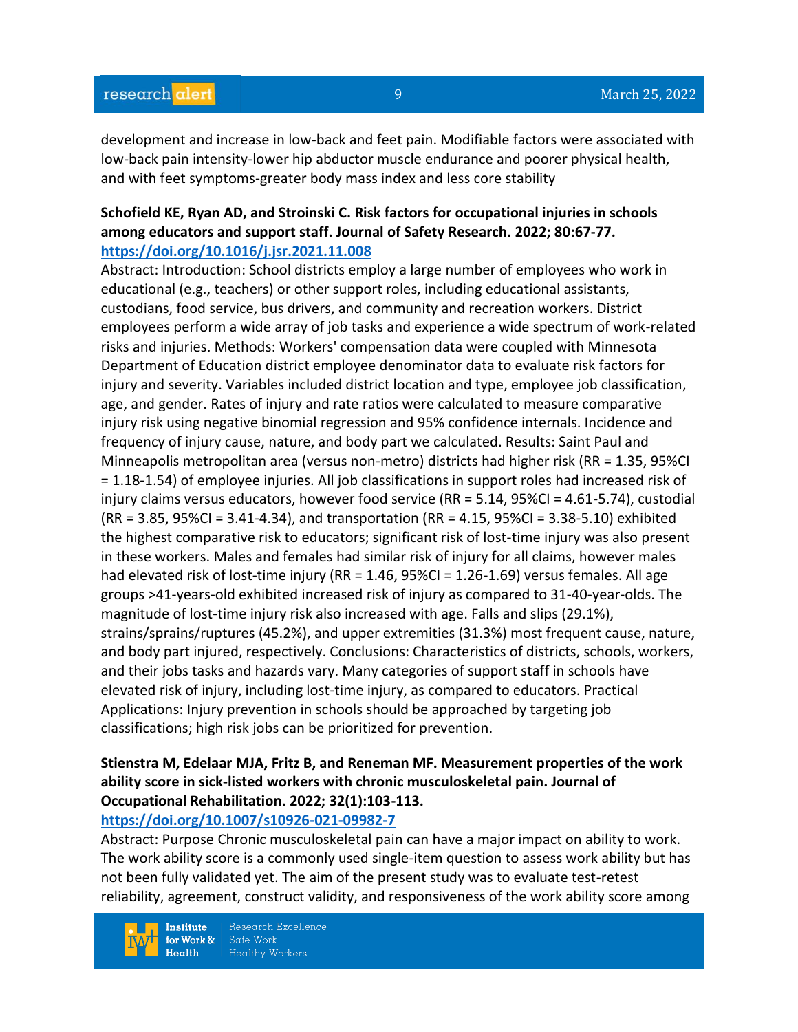development and increase in low-back and feet pain. Modifiable factors were associated with low-back pain intensity-lower hip abductor muscle endurance and poorer physical health, and with feet symptoms-greater body mass index and less core stability

#### **Schofield KE, Ryan AD, and Stroinski C. Risk factors for occupational injuries in schools among educators and support staff. Journal of Safety Research. 2022; 80:67-77. <https://doi.org/10.1016/j.jsr.2021.11.008>**

Abstract: Introduction: School districts employ a large number of employees who work in educational (e.g., teachers) or other support roles, including educational assistants, custodians, food service, bus drivers, and community and recreation workers. District employees perform a wide array of job tasks and experience a wide spectrum of work-related risks and injuries. Methods: Workers' compensation data were coupled with Minnesota Department of Education district employee denominator data to evaluate risk factors for injury and severity. Variables included district location and type, employee job classification, age, and gender. Rates of injury and rate ratios were calculated to measure comparative injury risk using negative binomial regression and 95% confidence internals. Incidence and frequency of injury cause, nature, and body part we calculated. Results: Saint Paul and Minneapolis metropolitan area (versus non-metro) districts had higher risk (RR = 1.35, 95%CI = 1.18-1.54) of employee injuries. All job classifications in support roles had increased risk of injury claims versus educators, however food service (RR = 5.14, 95%CI = 4.61-5.74), custodial (RR = 3.85, 95%CI = 3.41-4.34), and transportation (RR = 4.15, 95%CI = 3.38-5.10) exhibited the highest comparative risk to educators; significant risk of lost-time injury was also present in these workers. Males and females had similar risk of injury for all claims, however males had elevated risk of lost-time injury (RR = 1.46, 95%CI = 1.26-1.69) versus females. All age groups >41-years-old exhibited increased risk of injury as compared to 31-40-year-olds. The magnitude of lost-time injury risk also increased with age. Falls and slips (29.1%), strains/sprains/ruptures (45.2%), and upper extremities (31.3%) most frequent cause, nature, and body part injured, respectively. Conclusions: Characteristics of districts, schools, workers, and their jobs tasks and hazards vary. Many categories of support staff in schools have elevated risk of injury, including lost-time injury, as compared to educators. Practical Applications: Injury prevention in schools should be approached by targeting job classifications; high risk jobs can be prioritized for prevention.

# **Stienstra M, Edelaar MJA, Fritz B, and Reneman MF. Measurement properties of the work ability score in sick-listed workers with chronic musculoskeletal pain. Journal of Occupational Rehabilitation. 2022; 32(1):103-113.**

#### **<https://doi.org/10.1007/s10926-021-09982-7>**

Abstract: Purpose Chronic musculoskeletal pain can have a major impact on ability to work. The work ability score is a commonly used single-item question to assess work ability but has not been fully validated yet. The aim of the present study was to evaluate test-retest reliability, agreement, construct validity, and responsiveness of the work ability score among

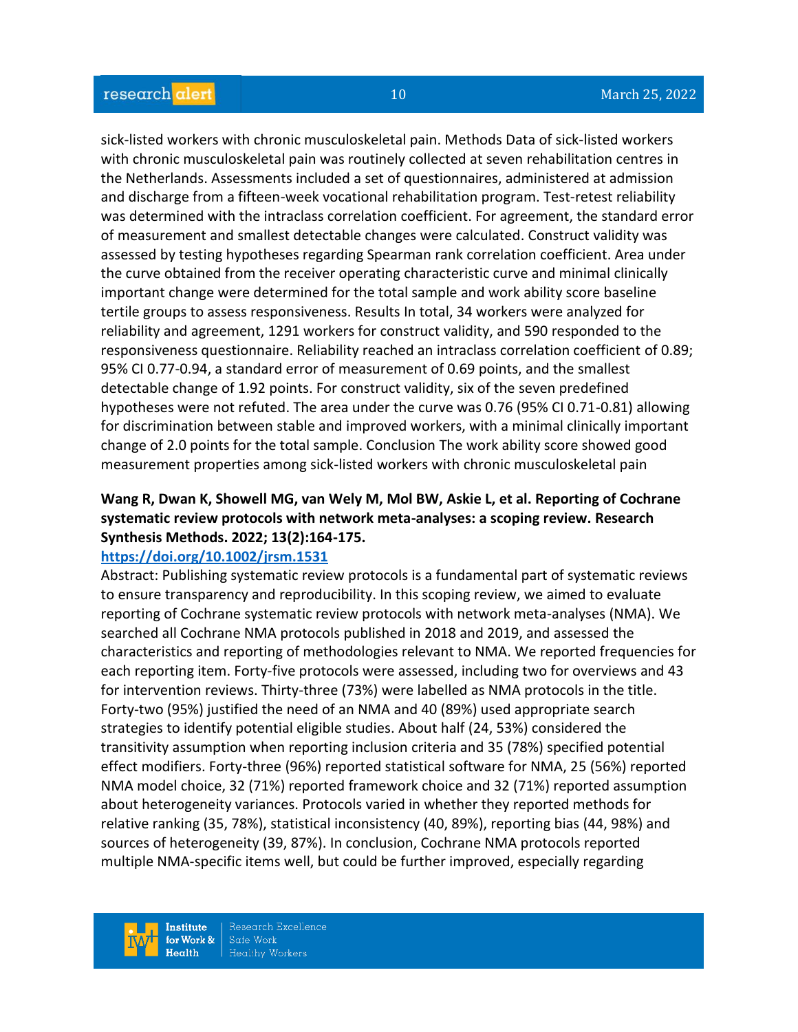sick-listed workers with chronic musculoskeletal pain. Methods Data of sick-listed workers with chronic musculoskeletal pain was routinely collected at seven rehabilitation centres in the Netherlands. Assessments included a set of questionnaires, administered at admission and discharge from a fifteen-week vocational rehabilitation program. Test-retest reliability was determined with the intraclass correlation coefficient. For agreement, the standard error of measurement and smallest detectable changes were calculated. Construct validity was assessed by testing hypotheses regarding Spearman rank correlation coefficient. Area under the curve obtained from the receiver operating characteristic curve and minimal clinically important change were determined for the total sample and work ability score baseline tertile groups to assess responsiveness. Results In total, 34 workers were analyzed for reliability and agreement, 1291 workers for construct validity, and 590 responded to the responsiveness questionnaire. Reliability reached an intraclass correlation coefficient of 0.89; 95% CI 0.77-0.94, a standard error of measurement of 0.69 points, and the smallest detectable change of 1.92 points. For construct validity, six of the seven predefined hypotheses were not refuted. The area under the curve was 0.76 (95% CI 0.71-0.81) allowing for discrimination between stable and improved workers, with a minimal clinically important change of 2.0 points for the total sample. Conclusion The work ability score showed good measurement properties among sick-listed workers with chronic musculoskeletal pain

# **Wang R, Dwan K, Showell MG, van Wely M, Mol BW, Askie L, et al. Reporting of Cochrane systematic review protocols with network meta-analyses: a scoping review. Research Synthesis Methods. 2022; 13(2):164-175.**

#### **<https://doi.org/10.1002/jrsm.1531>**

Abstract: Publishing systematic review protocols is a fundamental part of systematic reviews to ensure transparency and reproducibility. In this scoping review, we aimed to evaluate reporting of Cochrane systematic review protocols with network meta-analyses (NMA). We searched all Cochrane NMA protocols published in 2018 and 2019, and assessed the characteristics and reporting of methodologies relevant to NMA. We reported frequencies for each reporting item. Forty-five protocols were assessed, including two for overviews and 43 for intervention reviews. Thirty-three (73%) were labelled as NMA protocols in the title. Forty-two (95%) justified the need of an NMA and 40 (89%) used appropriate search strategies to identify potential eligible studies. About half (24, 53%) considered the transitivity assumption when reporting inclusion criteria and 35 (78%) specified potential effect modifiers. Forty-three (96%) reported statistical software for NMA, 25 (56%) reported NMA model choice, 32 (71%) reported framework choice and 32 (71%) reported assumption about heterogeneity variances. Protocols varied in whether they reported methods for relative ranking (35, 78%), statistical inconsistency (40, 89%), reporting bias (44, 98%) and sources of heterogeneity (39, 87%). In conclusion, Cochrane NMA protocols reported multiple NMA-specific items well, but could be further improved, especially regarding